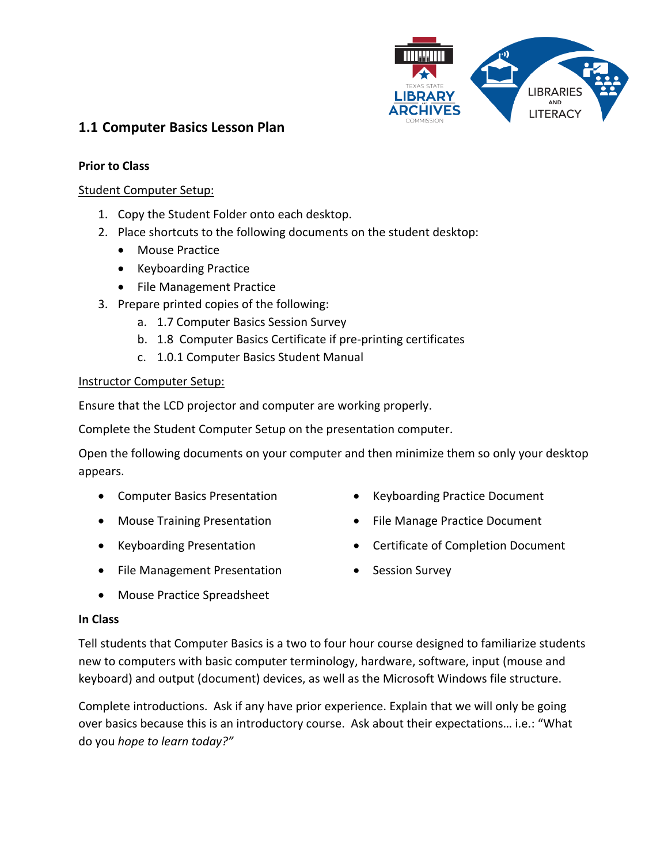

# **1.1 Computer Basics Lesson Plan**

#### **Prior to Class**

#### Student Computer Setup:

- 1. Copy the Student Folder onto each desktop.
- 2. Place shortcuts to the following documents on the student desktop:
	- Mouse Practice
	- Keyboarding Practice
	- File Management Practice
- 3. Prepare printed copies of the following:
	- a. 1.7 Computer Basics Session Survey
	- b. 1.8 Computer Basics Certificate if pre-printing certificates
	- c. 1.0.1 Computer Basics Student Manual

#### Instructor Computer Setup:

Ensure that the LCD projector and computer are working properly.

Complete the Student Computer Setup on the presentation computer.

Open the following documents on your computer and then minimize them so only your desktop appears.

- Computer Basics Presentation
- Mouse Training Presentation
- Keyboarding Presentation
- File Management Presentation
- Keyboarding Practice Document
- File Manage Practice Document
- Certificate of Completion Document
- Session Survey
- Mouse Practice Spreadsheet

#### **In Class**

Tell students that Computer Basics is a two to four hour course designed to familiarize students new to computers with basic computer terminology, hardware, software, input (mouse and keyboard) and output (document) devices, as well as the Microsoft Windows file structure.

Complete introductions. Ask if any have prior experience. Explain that we will only be going over basics because this is an introductory course. Ask about their expectations… i.e.: "What do you *hope to learn today?"*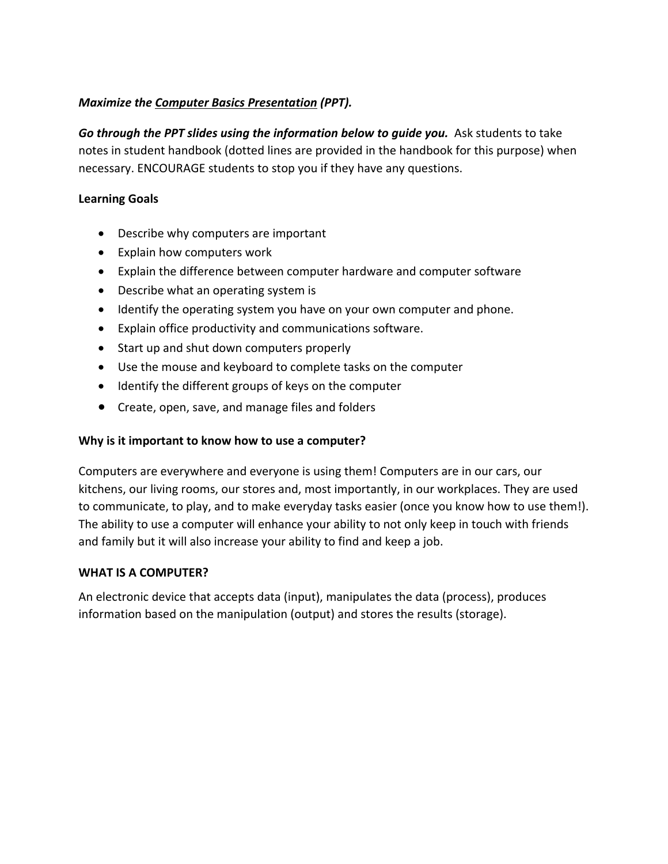## *Maximize the Computer Basics Presentation (PPT).*

Go through the PPT slides using the information below to quide you. Ask students to take notes in student handbook (dotted lines are provided in the handbook for this purpose) when necessary. ENCOURAGE students to stop you if they have any questions.

### **Learning Goals**

- Describe why computers are important
- Explain how computers work
- Explain the difference between computer hardware and computer software
- Describe what an operating system is
- Identify the operating system you have on your own computer and phone.
- Explain office productivity and communications software.
- Start up and shut down computers properly
- Use the mouse and keyboard to complete tasks on the computer
- Identify the different groups of keys on the computer
- Create, open, save, and manage files and folders

## **Why is it important to know how to use a computer?**

Computers are everywhere and everyone is using them! Computers are in our cars, our kitchens, our living rooms, our stores and, most importantly, in our workplaces. They are used to communicate, to play, and to make everyday tasks easier (once you know how to use them!). The ability to use a computer will enhance your ability to not only keep in touch with friends and family but it will also increase your ability to find and keep a job.

## **WHAT IS A COMPUTER?**

An electronic device that accepts data (input), manipulates the data (process), produces information based on the manipulation (output) and stores the results (storage).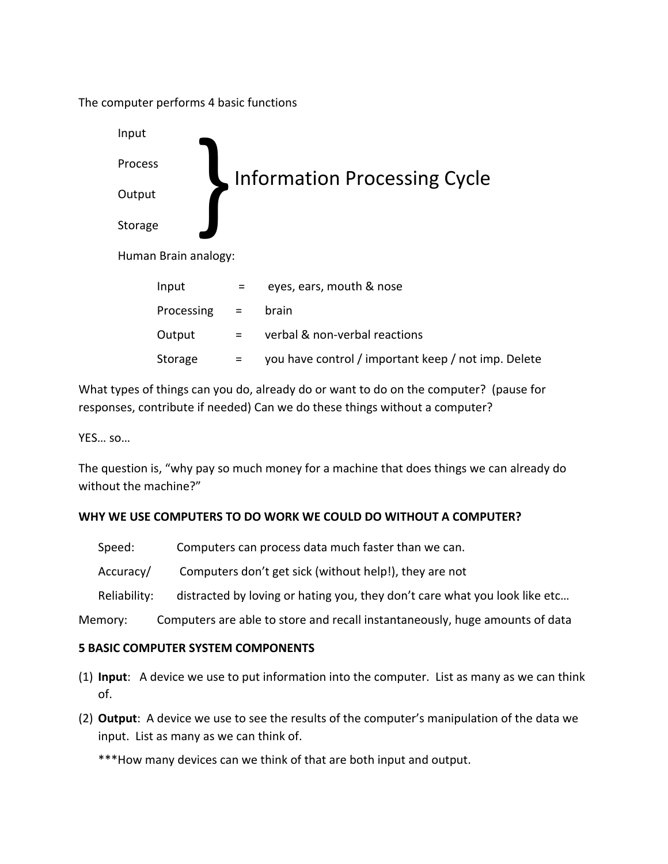The computer performs 4 basic functions

| Input   |                      |                                     |                                                     |  |
|---------|----------------------|-------------------------------------|-----------------------------------------------------|--|
| Process |                      | <b>Information Processing Cycle</b> |                                                     |  |
| Output  |                      |                                     |                                                     |  |
| Storage |                      |                                     |                                                     |  |
|         | Human Brain analogy: |                                     |                                                     |  |
|         | Input                | =                                   | eyes, ears, mouth & nose                            |  |
|         | Processing           | $=$                                 | brain                                               |  |
|         | Output               | =                                   | verbal & non-verbal reactions                       |  |
|         | Storage              |                                     | you have control / important keep / not imp. Delete |  |

What types of things can you do, already do or want to do on the computer? (pause for responses, contribute if needed) Can we do these things without a computer?

YES… so…

The question is, "why pay so much money for a machine that does things we can already do without the machine?"

## **WHY WE USE COMPUTERS TO DO WORK WE COULD DO WITHOUT A COMPUTER?**

| Speed:       | Computers can process data much faster than we can.                          |
|--------------|------------------------------------------------------------------------------|
| Accuracy/    | Computers don't get sick (without help!), they are not                       |
| Reliability: | distracted by loving or hating you, they don't care what you look like etc   |
| Memory:      | Computers are able to store and recall instantaneously, huge amounts of data |

## **5 BASIC COMPUTER SYSTEM COMPONENTS**

- (1) **Input**: A device we use to put information into the computer. List as many as we can think of.
- (2) **Output**: A device we use to see the results of the computer's manipulation of the data we input. List as many as we can think of.

\*\*\*How many devices can we think of that are both input and output.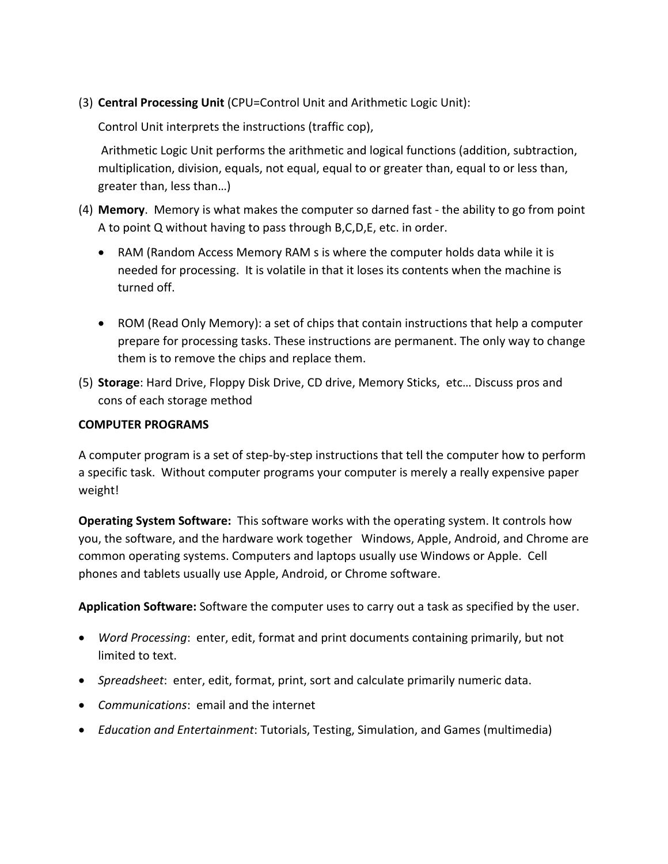(3) **Central Processing Unit** (CPU=Control Unit and Arithmetic Logic Unit):

Control Unit interprets the instructions (traffic cop),

Arithmetic Logic Unit performs the arithmetic and logical functions (addition, subtraction, multiplication, division, equals, not equal, equal to or greater than, equal to or less than, greater than, less than…)

- (4) **Memory**. Memory is what makes the computer so darned fast the ability to go from point A to point Q without having to pass through B,C,D,E, etc. in order.
	- RAM (Random Access Memory RAM s is where the computer holds data while it is needed for processing. It is volatile in that it loses its contents when the machine is turned off.
	- ROM (Read Only Memory): a set of chips that contain instructions that help a computer prepare for processing tasks. These instructions are permanent. The only way to change them is to remove the chips and replace them.
- (5) **Storage**: Hard Drive, Floppy Disk Drive, CD drive, Memory Sticks, etc… Discuss pros and cons of each storage method

#### **COMPUTER PROGRAMS**

A computer program is a set of step-by-step instructions that tell the computer how to perform a specific task. Without computer programs your computer is merely a really expensive paper weight!

**Operating System Software:** This software works with the operating system. It controls how you, the software, and the hardware work together Windows, Apple, Android, and Chrome are common operating systems. Computers and laptops usually use Windows or Apple. Cell phones and tablets usually use Apple, Android, or Chrome software.

**Application Software:** Software the computer uses to carry out a task as specified by the user.

- *Word Processing*: enter, edit, format and print documents containing primarily, but not limited to text.
- *Spreadsheet*: enter, edit, format, print, sort and calculate primarily numeric data.
- *Communications*: email and the internet
- *Education and Entertainment*: Tutorials, Testing, Simulation, and Games (multimedia)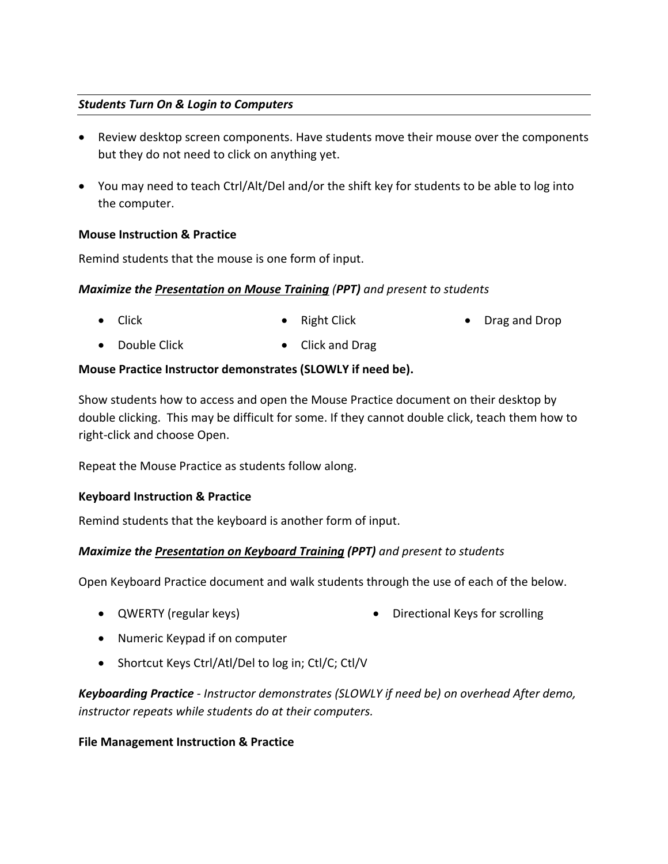### *Students Turn On & Login to Computers*

- Review desktop screen components. Have students move their mouse over the components but they do not need to click on anything yet.
- You may need to teach Ctrl/Alt/Del and/or the shift key for students to be able to log into the computer.

#### **Mouse Instruction & Practice**

Remind students that the mouse is one form of input.

#### *Maximize the Presentation on Mouse Training (PPT) and present to students*

- Click • Right Click • Drag and Drop
- Double Click • Click and Drag

#### **Mouse Practice Instructor demonstrates (SLOWLY if need be).**

Show students how to access and open the Mouse Practice document on their desktop by double clicking. This may be difficult for some. If they cannot double click, teach them how to right-click and choose Open.

Repeat the Mouse Practice as students follow along.

#### **Keyboard Instruction & Practice**

Remind students that the keyboard is another form of input.

## *Maximize the Presentation on Keyboard Training (PPT) and present to students*

Open Keyboard Practice document and walk students through the use of each of the below.

- QWERTY (regular keys) Directional Keys for scrolling
- Numeric Keypad if on computer
- Shortcut Keys Ctrl/Atl/Del to log in; Ctl/C; Ctl/V

*Keyboarding Practice - Instructor demonstrates (SLOWLY if need be) on overhead After demo, instructor repeats while students do at their computers.* 

#### **File Management Instruction & Practice**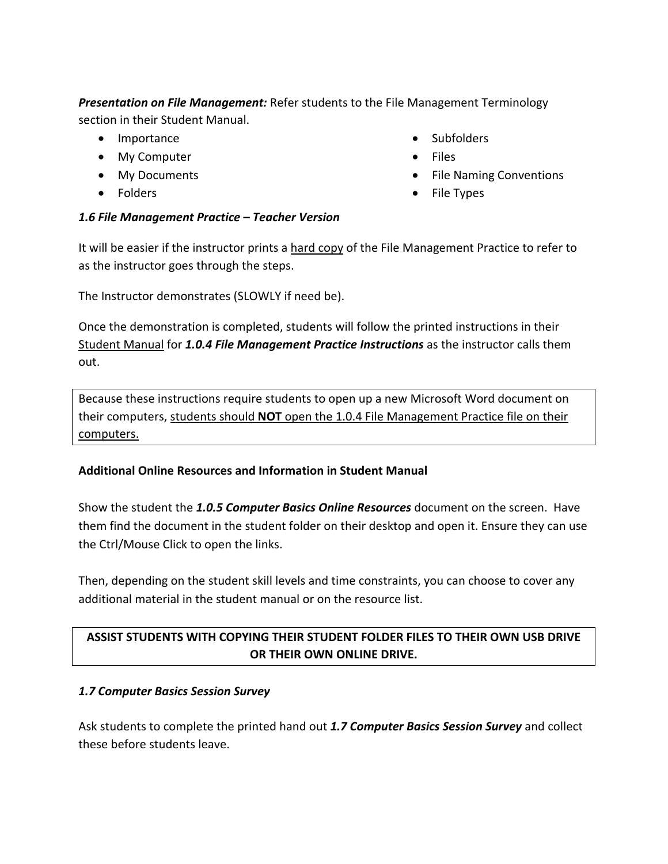*Presentation on File Management:* Refer students to the File Management Terminology section in their Student Manual.

- Importance
- My Computer
- My Documents
- Folders
- Subfolders
- Files
- File Naming Conventions
- File Types

#### *1.6 File Management Practice – Teacher Version*

It will be easier if the instructor prints a hard copy of the File Management Practice to refer to as the instructor goes through the steps.

The Instructor demonstrates (SLOWLY if need be).

Once the demonstration is completed, students will follow the printed instructions in their Student Manual for *1.0.4 File Management Practice Instructions* as the instructor calls them out.

Because these instructions require students to open up a new Microsoft Word document on their computers, students should **NOT** open the 1.0.4 File Management Practice file on their computers.

## **Additional Online Resources and Information in Student Manual**

Show the student the *1.0.5 Computer Basics Online Resources* document on the screen. Have them find the document in the student folder on their desktop and open it. Ensure they can use the Ctrl/Mouse Click to open the links.

Then, depending on the student skill levels and time constraints, you can choose to cover any additional material in the student manual or on the resource list.

## **ASSIST STUDENTS WITH COPYING THEIR STUDENT FOLDER FILES TO THEIR OWN USB DRIVE OR THEIR OWN ONLINE DRIVE.**

#### *1.7 Computer Basics Session Survey*

Ask students to complete the printed hand out *1.7 Computer Basics Session Survey* and collect these before students leave.